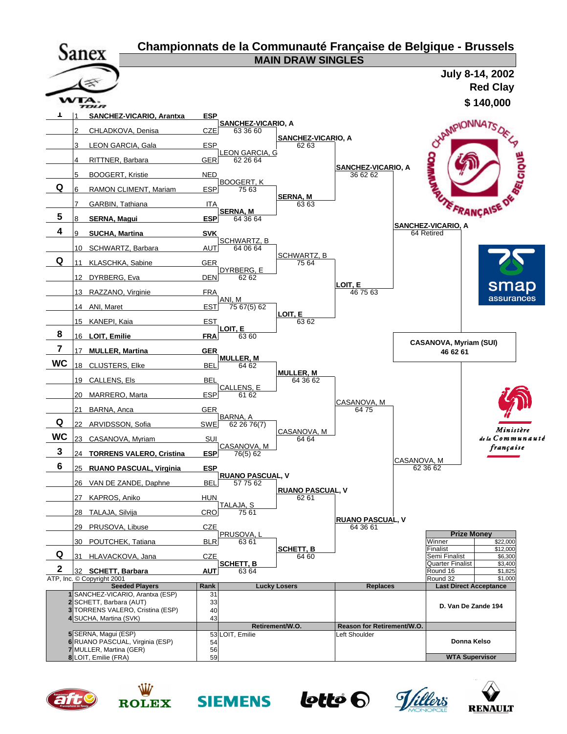











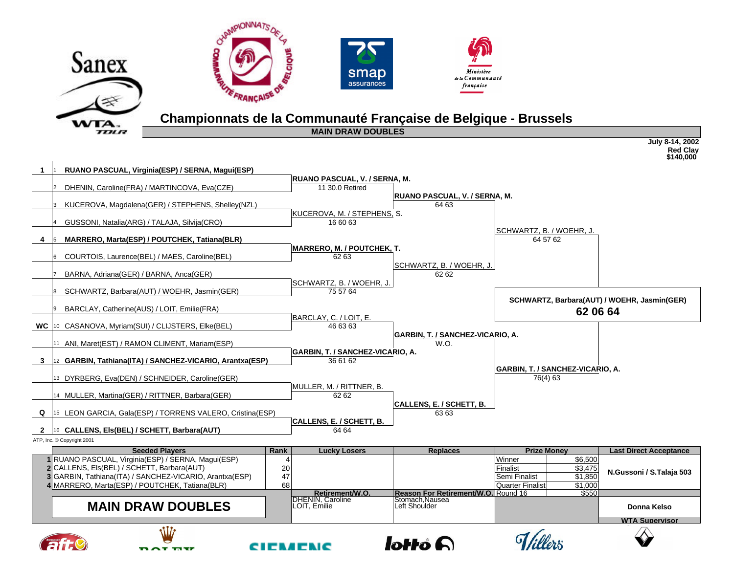

## **Championnats de la Communauté Française de Belgique - Brussels**

**MAIN DRAW DOUBLES** 

|   |                                                                                                           |          |                                                         |                                     |                                          |                    | <b>Red Clav</b><br>\$140,000                |
|---|-----------------------------------------------------------------------------------------------------------|----------|---------------------------------------------------------|-------------------------------------|------------------------------------------|--------------------|---------------------------------------------|
| 1 | RUANO PASCUAL, Virginia(ESP) / SERNA, Magui(ESP)                                                          |          |                                                         |                                     |                                          |                    |                                             |
|   |                                                                                                           |          | <b>RUANO PASCUAL, V. / SERNA, M.</b><br>11 30.0 Retired |                                     |                                          |                    |                                             |
|   | DHENIN, Caroline(FRA) / MARTINCOVA, Eva(CZE)                                                              |          |                                                         | RUANO PASCUAL, V. / SERNA, M.       |                                          |                    |                                             |
|   | KUCEROVA, Magdalena(GER) / STEPHENS, Shelley(NZL)                                                         |          |                                                         | 64 63                               |                                          |                    |                                             |
|   |                                                                                                           |          | KUCEROVA, M. / STEPHENS, S.                             |                                     |                                          |                    |                                             |
|   | GUSSONI, Natalia(ARG) / TALAJA, Silvija(CRO)                                                              |          | 16 60 63                                                |                                     |                                          |                    |                                             |
|   |                                                                                                           |          |                                                         |                                     | SCHWARTZ, B. / WOEHR, J.                 |                    |                                             |
| 4 | MARRERO, Marta(ESP) / POUTCHEK, Tatiana(BLR)                                                              |          |                                                         |                                     |                                          | 64 57 62           |                                             |
|   |                                                                                                           |          | <b>MARRERO, M. / POUTCHEK, T.</b>                       |                                     |                                          |                    |                                             |
|   | COURTOIS, Laurence(BEL) / MAES, Caroline(BEL)                                                             |          | 62 63                                                   | SCHWARTZ, B. / WOEHR, J.            |                                          |                    |                                             |
|   | BARNA, Adriana(GER) / BARNA, Anca(GER)                                                                    |          |                                                         | 62 62                               |                                          |                    |                                             |
|   |                                                                                                           |          | SCHWARTZ, B. / WOEHR, J.                                |                                     |                                          |                    |                                             |
|   | SCHWARTZ, Barbara(AUT) / WOEHR, Jasmin(GER)                                                               |          | 75 57 64                                                |                                     |                                          |                    |                                             |
|   |                                                                                                           |          |                                                         |                                     |                                          |                    | SCHWARTZ, Barbara(AUT) / WOEHR, Jasmin(GER) |
|   | BARCLAY, Catherine(AUS) / LOIT, Emilie(FRA)                                                               |          |                                                         |                                     |                                          | 62 06 64           |                                             |
|   | <b>WC</b> 10 CASANOVA, Myriam(SUI) / CLIJSTERS, Elke(BEL)                                                 |          | BARCLAY, C. / LOIT, E.<br>46 63 63                      |                                     |                                          |                    |                                             |
|   |                                                                                                           |          |                                                         | GARBIN, T. / SANCHEZ-VICARIO, A.    |                                          |                    |                                             |
|   | 11 ANI, Maret(EST) / RAMON CLIMENT, Mariam(ESP)                                                           |          |                                                         | W.O.                                |                                          |                    |                                             |
|   |                                                                                                           |          | <b>GARBIN, T. / SANCHEZ-VICARIO, A.</b>                 |                                     |                                          |                    |                                             |
| 3 | 12 GARBIN, Tathiana(ITA) / SANCHEZ-VICARIO, Arantxa(ESP)                                                  |          | 36 61 62                                                |                                     |                                          |                    |                                             |
|   |                                                                                                           |          |                                                         |                                     | GARBIN, T. / SANCHEZ-VICARIO, A.         |                    |                                             |
|   | 13 DYRBERG, Eva(DEN) / SCHNEIDER, Caroline(GER)                                                           |          |                                                         |                                     | 76(4) 63                                 |                    |                                             |
|   | 14 MULLER, Martina(GER) / RITTNER, Barbara(GER)                                                           |          | MULLER, M. / RITTNER, B.<br>62 62                       |                                     |                                          |                    |                                             |
|   |                                                                                                           |          |                                                         | <b>CALLENS, E. / SCHETT, B.</b>     |                                          |                    |                                             |
|   | Q  15 LEON GARCIA, Gala(ESP) / TORRENS VALERO, Cristina(ESP)                                              |          |                                                         | 6363                                |                                          |                    |                                             |
|   |                                                                                                           |          | CALLENS, E. / SCHETT, B.                                |                                     |                                          |                    |                                             |
|   | 2 16 CALLENS, Els(BEL) / SCHETT, Barbara(AUT)                                                             |          | 64 64                                                   |                                     |                                          |                    |                                             |
|   | ATP, Inc. © Copyright 2001                                                                                |          |                                                         |                                     |                                          |                    |                                             |
|   | <b>Seeded Players</b>                                                                                     | Rank     | <b>Lucky Losers</b>                                     | <b>Replaces</b>                     |                                          | <b>Prize Money</b> | <b>Last Direct Acceptance</b>               |
|   | 1 RUANO PASCUAL, Virginia (ESP) / SERNA, Magui (ESP)                                                      |          |                                                         |                                     | Winner                                   | \$6,500            |                                             |
|   | 2 CALLENS, Els(BEL) / SCHETT, Barbara(AUT)                                                                | 20       |                                                         |                                     | Finalist                                 | \$3,475            | N.Gussoni / S.Talaja 503                    |
|   | 3 GARBIN, Tathiana(ITA) / SANCHEZ-VICARIO, Arantxa(ESP)<br>4 MARRERO, Marta(ESP) / POUTCHEK, Tatiana(BLR) | 47<br>68 |                                                         |                                     | Semi Finalist<br><b>Quarter Finalist</b> | \$1,850<br>\$1,000 |                                             |
|   |                                                                                                           |          | Retirement/W.O.                                         | Reason For Retirement/W.O. Round 16 |                                          | \$550              |                                             |
|   |                                                                                                           |          | <b>DHENIN, Caroline</b><br>LOIT. Emilie                 | Stomach.Nausea<br>Left Shoulder     |                                          |                    |                                             |
|   | <b>MAIN DRAW DOUBLES</b>                                                                                  |          |                                                         |                                     |                                          |                    | Donna Kelso                                 |



 $W_{T\!O\!I\!P}$ 









**July 8-14, 2002**

**WTA Supervisor**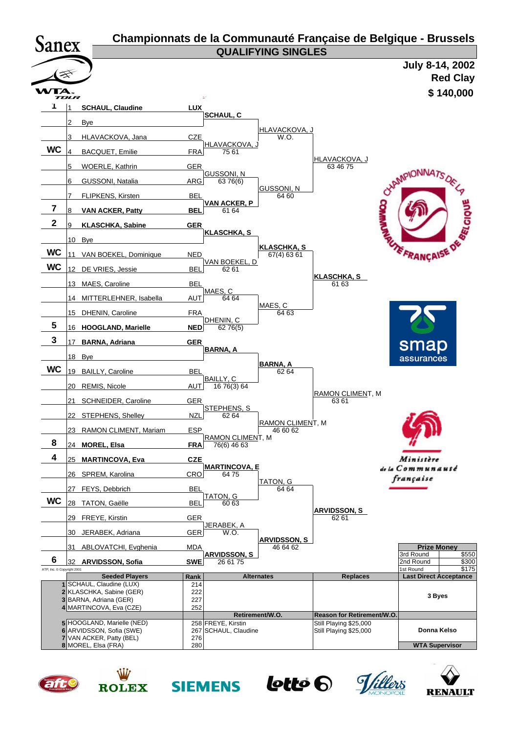| <b>Sanex</b>               |            |                                                    |             |                                 |                                   | Championnats de la Communauté Française de Belgique - Brussels |                                                     |
|----------------------------|------------|----------------------------------------------------|-------------|---------------------------------|-----------------------------------|----------------------------------------------------------------|-----------------------------------------------------|
|                            |            |                                                    |             |                                 | <b>QUALIFYING SINGLES</b>         |                                                                |                                                     |
|                            |            |                                                    |             |                                 |                                   |                                                                | July 8-14, 2002                                     |
|                            |            |                                                    |             |                                 |                                   |                                                                | <b>Red Clay</b>                                     |
|                            | ГА<br>TOUR |                                                    |             |                                 |                                   |                                                                | \$140,000                                           |
|                            |            | <b>SCHAUL, Claudine</b>                            | <b>LUX</b>  | <b>SCHAUL, C</b>                |                                   |                                                                |                                                     |
|                            | 2          | Bye                                                |             |                                 |                                   |                                                                |                                                     |
|                            | 3          | HLAVACKOVA, Jana                                   | <b>CZE</b>  |                                 | HLAVACKOVA, J<br>W.O.             |                                                                |                                                     |
| <b>WC</b>                  | 4          | <b>BACQUET, Emilie</b>                             | <b>FRA</b>  | HLAVACKOVA,<br>75 61            |                                   |                                                                |                                                     |
|                            | 5          | WOERLE, Kathrin                                    | <b>GER</b>  |                                 |                                   | <b>HLAVACKOVA, J</b><br>63 46 75                               |                                                     |
|                            | 6          | <b>GUSSONI, Natalia</b>                            | ARG         | <b>GUSSONI, N</b><br>63 76(6)   |                                   |                                                                |                                                     |
|                            | 7          | <b>FLIPKENS, Kirsten</b>                           | BEL         |                                 | <b>GUSSONI, N</b><br>64 60        |                                                                |                                                     |
| 7                          | 8          | <b>VAN ACKER, Patty</b>                            | <b>BEL</b>  | <b>VAN ACKER, P</b><br>61 64    |                                   |                                                                | OVAMPIONNA7S DE LA                                  |
| $\mathbf{2}$               | 9          | <b>KLASCHKA, Sabine</b>                            | <b>GER</b>  |                                 |                                   |                                                                |                                                     |
|                            |            | 10 Bye                                             |             | <b>KLASCHKA, S</b>              |                                   |                                                                |                                                     |
| <b>WC</b>                  | 11         | VAN BOEKEL, Dominique                              | <b>NED</b>  |                                 | <b>KLASCHKA, S</b><br>67(4) 63 61 |                                                                |                                                     |
| <b>WC</b>                  |            | 12 DE VRIES, Jessie                                | <b>BEL</b>  | <u>VAN BOEKEL, D</u><br>62 61   |                                   |                                                                |                                                     |
|                            | 13         | MAES, Caroline                                     | BEL         |                                 |                                   | <b>KLASCHKA, S</b><br>61 63                                    |                                                     |
|                            | 14         | MITTERLEHNER, Isabella                             | AUT         | MAES, C<br>64 64                |                                   |                                                                |                                                     |
|                            |            | 15 DHENIN, Caroline                                | <b>FRA</b>  |                                 | MAES, C<br>64 63                  |                                                                |                                                     |
| 5                          |            | 16 HOOGLAND, Marielle                              | <b>NED</b>  | DHENIN, C<br>62 76(5)           |                                   |                                                                |                                                     |
| 3                          | 17         | <b>BARNA, Adriana</b>                              | <b>GER</b>  |                                 |                                   |                                                                |                                                     |
|                            | 18         | Bye                                                |             | <b>BARNA, A</b>                 |                                   |                                                                | <u>smap</u><br>assurances                           |
| <b>WC</b>                  | 19         | <b>BAILLY, Caroline</b>                            | <b>BEL</b>  |                                 | BARNA, A<br>62 64                 |                                                                |                                                     |
|                            | 20         | REMIS, Nicole                                      | <b>AUTI</b> | BAILLY, C<br>16 76(3) 64        |                                   |                                                                |                                                     |
|                            | 21         | SCHNEIDER, Caroline                                | <b>GER</b>  |                                 |                                   | RAMON CLIMENT, M<br>6361                                       |                                                     |
|                            |            | 22 STEPHENS, Shelley                               | NZL         | STEPHENS, S<br>62 64            |                                   |                                                                |                                                     |
|                            | 23         | RAMON CLIMENT, Mariam                              | <b>ESP</b>  |                                 | RAMON CLIMENT, M<br>46 60 62      |                                                                |                                                     |
| 8                          |            | 24 MOREL, Elsa                                     | <b>FRA</b>  | RAMON CLIMENT, M<br>76(6) 46 63 |                                   |                                                                |                                                     |
| 4                          | 25         | <b>MARTINCOVA, Eva</b>                             | <b>CZE</b>  |                                 |                                   |                                                                | Ministère                                           |
|                            |            | 26 SPREM, Karolina                                 | CRO         | <b>MARTINCOVA, E</b><br>6475    |                                   |                                                                | de la Communauté                                    |
|                            | 27         | FEYS, Debbrich                                     | BEL         |                                 | TATON, G<br>64 64                 |                                                                | française                                           |
| <b>WC</b>                  |            | 28 TATON, Gaëlle                                   | BEL         | TATON, G<br>60 63               |                                   |                                                                |                                                     |
|                            | 29         | FREYE, Kirstin                                     | <b>GER</b>  |                                 |                                   | <b>ARVIDSSON, S</b><br>62 61                                   |                                                     |
|                            |            | 30 JERABEK, Adriana                                | <b>GER</b>  | JERABEK, A<br>W.O.              |                                   |                                                                |                                                     |
|                            | 31         | ABLOVATCHI, Evghenia                               | <b>MDA</b>  |                                 | ARVIDSSON, S<br>46 64 62          |                                                                | <b>Prize Money</b>                                  |
| 6                          | 32         | <b>ARVIDSSON, Sofia</b>                            | <b>SWE</b>  | <b>ARVIDSSON, S</b><br>26 61 75 |                                   |                                                                | 3rd Round<br>\$550<br>2nd Round<br>\$300            |
| ATP, Inc. C Copyright 2001 |            | <b>Seeded Players</b>                              | Rank        |                                 | <b>Alternates</b>                 | <b>Replaces</b>                                                | 1st Round<br>\$175<br><b>Last Direct Acceptance</b> |
|                            |            | 1 SCHAUL, Claudine (LUX)                           | 214         |                                 |                                   |                                                                |                                                     |
|                            |            | 2 KLASCHKA, Sabine (GER)<br>3 BARNA, Adriana (GER) | 222<br>227  |                                 |                                   |                                                                | 3 Byes                                              |
|                            |            | 4 MARTINCOVA, Eva (CZE)                            | 252         |                                 |                                   |                                                                |                                                     |
|                            |            | 5 HOOGLAND, Marielle (NED)                         |             | 258 FREYE, Kirstin              | Retirement/W.O.                   | Reason for Retirement/W.O.<br>Still Playing \$25,000           |                                                     |
|                            |            | 6 ARVIDSSON, Sofia (SWE)                           |             | 267 SCHAUL, Claudine            |                                   | Still Playing \$25,000                                         | Donna Kelso                                         |
|                            |            | 7 VAN ACKER, Patty (BEL)<br>8 MOREL, Elsa (FRA)    | 276<br>280  |                                 |                                   |                                                                | <b>WTA Supervisor</b>                               |